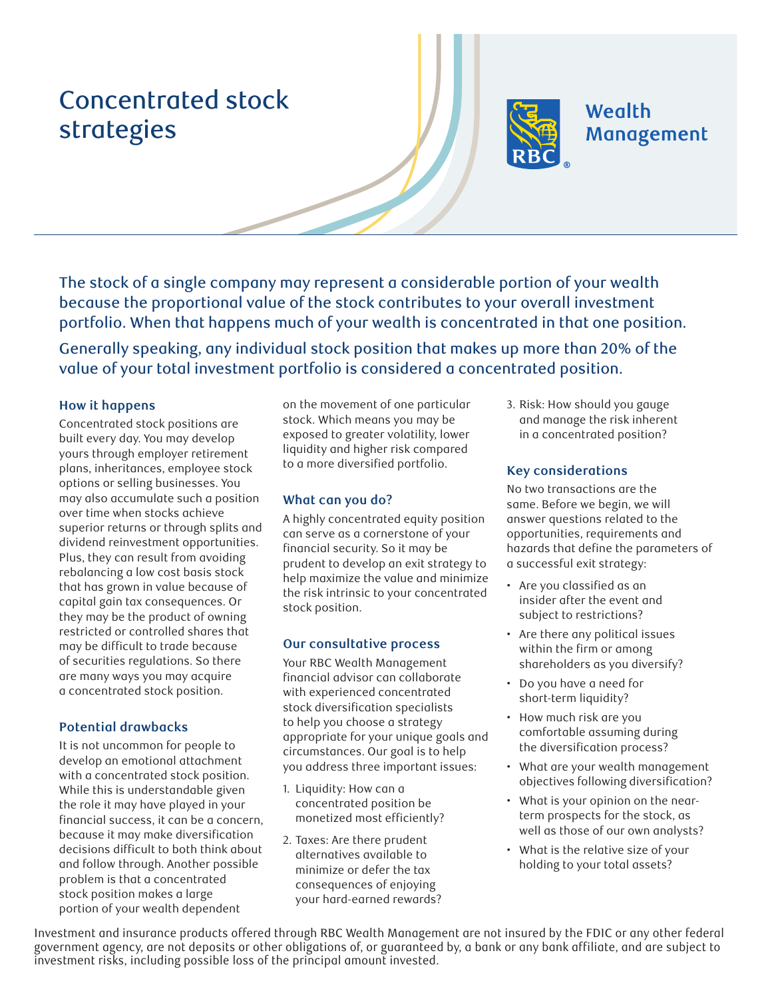# Concentrated stock strategies



# **Wealth** Management

The stock of a single company may represent a considerable portion of your wealth because the proportional value of the stock contributes to your overall investment portfolio. When that happens much of your wealth is concentrated in that one position.

Generally speaking, any individual stock position that makes up more than 20% of the value of your total investment portfolio is considered a concentrated position.

#### **How it happens**

Concentrated stock positions are built every day. You may develop yours through employer retirement plans, inheritances, employee stock options or selling businesses. You may also accumulate such a position over time when stocks achieve superior returns or through splits and dividend reinvestment opportunities. Plus, they can result from avoiding rebalancing a low cost basis stock that has grown in value because of capital gain tax consequences. Or they may be the product of owning restricted or controlled shares that may be difficult to trade because of securities regulations. So there are many ways you may acquire a concentrated stock position.

#### **Potential drawbacks**

It is not uncommon for people to develop an emotional attachment with a concentrated stock position. While this is understandable given the role it may have played in your financial success, it can be a concern, because it may make diversification decisions difficult to both think about and follow through. Another possible problem is that a concentrated stock position makes a large portion of your wealth dependent

on the movement of one particular stock. Which means you may be exposed to greater volatility, lower liquidity and higher risk compared to a more diversified portfolio.

# **What can you do?**

A highly concentrated equity position can serve as a cornerstone of your financial security. So it may be prudent to develop an exit strategy to help maximize the value and minimize the risk intrinsic to your concentrated stock position.

# **Our consultative process**

Your RBC Wealth Management financial advisor can collaborate with experienced concentrated stock diversification specialists to help you choose a strategy appropriate for your unique goals and circumstances. Our goal is to help you address three important issues:

- 1. Liquidity: How can a concentrated position be monetized most efficiently?
- 2. Taxes: Are there prudent alternatives available to minimize or defer the tax consequences of enjoying your hard-earned rewards?

3. Risk: How should you gauge and manage the risk inherent in a concentrated position?

# **Key considerations**

No two transactions are the same. Before we begin, we will answer questions related to the opportunities, requirements and hazards that define the parameters of a successful exit strategy:

- Are you classified as an insider after the event and subject to restrictions?
- Are there any political issues within the firm or among shareholders as you diversify?
- Do you have a need for short-term liquidity?
- How much risk are you comfortable assuming during the diversification process?
- What are your wealth management objectives following diversification?
- What is your opinion on the nearterm prospects for the stock, as well as those of our own analysts?
- What is the relative size of your holding to your total assets?

Investment and insurance products offered through RBC Wealth Management are not insured by the FDIC or any other federal government agency, are not deposits or other obligations of, or guaranteed by, a bank or any bank affiliate, and are subject to investment risks, including possible loss of the principal amount invested.